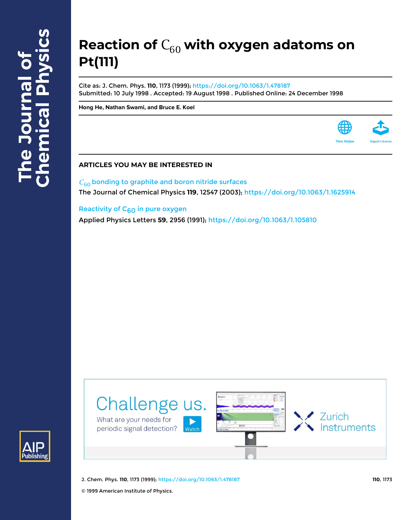# Reaction of  $C_{60}$  with oxygen adatoms on **Pt(111)**

Cite as: J. Chem. Phys. **110**, 1173 (1999); <https://doi.org/10.1063/1.478187> Submitted: 10 July 1998 . Accepted: 19 August 1998 . Published Online: 24 December 1998

**[Hong He](https://aip.scitation.org/author/He%2C+Hong), [Nathan Swami,](https://aip.scitation.org/author/Swami%2C+Nathan) and [Bruce E. Koel](https://aip.scitation.org/author/Koel%2C+Bruce+E)**

# **ARTICLES YOU MAY BE INTERESTED IN**

 $C_{60}$  [bonding to graphite and boron nitride surfaces](https://aip.scitation.org/doi/10.1063/1.1625914) The Journal of Chemical Physics **119**, 12547 (2003);<https://doi.org/10.1063/1.1625914>

# Reactivity of  $C_{60}$  in pure oxygen

Applied Physics Letters **59**, 2956 (1991); <https://doi.org/10.1063/1.105810>





J. Chem. Phys. **110**, 1173 (1999); <https://doi.org/10.1063/1.478187> **110**, 1173

© 1999 American Institute of Physics.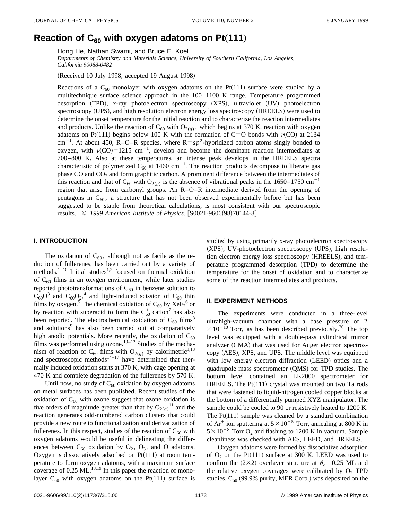# Reaction of  $C_{60}$  with oxygen adatoms on Pt $(111)$

Hong He, Nathan Swami, and Bruce E. Koel

*Departments of Chemistry and Materials Science, University of Southern California, Los Angeles, California 90088-0482*

(Received 10 July 1998; accepted 19 August 1998)

Reactions of a C<sub>60</sub> monolayer with oxygen adatoms on the Pt(111) surface were studied by a multitechnique surface science approach in the 100–1100 K range. Temperature programmed desorption (TPD), x-ray photoelectron spectroscopy (XPS), ultraviolet (UV) photoelectron spectroscopy (UPS), and high resolution electron energy loss spectroscopy (HREELS) were used to determine the onset temperature for the initial reaction and to characterize the reaction intermediates and products. Unlike the reaction of  $C_{60}$  with  $O_{2(\ell)}$ , which begins at 370 K, reaction with oxygen adatoms on Pt(111) begins below 100 K with the formation of C=O bonds with  $\nu(CO)$  at 2134 cm<sup>-1</sup>. At about 450, R-O-R species, where  $R = sp^2$ -hybridized carbon atoms singly bonded to oxygen, with  $v(CO)=1215$  cm<sup>-1</sup>, develop and become the dominant reaction intermediates at 700–800 K. Also at these temperatures, an intense peak develops in the HREELS spectra characteristic of polymerized  $C_{60}$  at 1460 cm<sup>-1</sup>. The reaction products decompose to liberate gas phase CO and  $CO<sub>2</sub>$  and form graphitic carbon. A prominent difference between the intermediates of this reaction and that of C<sub>60</sub> with O<sub>2(*g*)</sub> is the absence of vibrational peaks in the 1650–1750 cm<sup>-1</sup> region that arise from carbonyl groups. An R–O–R intermediate derived from the opening of pentagons in  $C_{60}$ , a structure that has not been observed experimentally before but has been suggested to be stable from theoretical calculations, is most consistent with our spectroscopic results. © 1999 American Institute of Physics. [S0021-9606(98)70144-8]

#### **I. INTRODUCTION**

The oxidation of  $C_{60}$ , although not as facile as the reduction of fullerenes, has been carried out by a variety of methods.<sup>1-10</sup> Initial studies<sup>1,2</sup> focused on thermal oxidation of  $C_{60}$  films in an oxygen environment, while later studies reported phototransformations of  $C_{60}$  in benzene solution to  $C_{60}O^3$  and  $C_{60}O_2$ ,<sup>4</sup> and light-induced scission of  $C_{60}$  thin films by oxygen.<sup>5</sup> The chemical oxidation of  $C_{60}$  by  $XeF_2^6$  or by reaction with superacid to form the  $C_{60}^+$  cation<sup>7</sup> has also been reported. The electrochemical oxidation of  $C_{60}$  films<sup>8</sup> and solutions<sup>9</sup> has also been carried out at comparatively high anodic potentials. More recently, the oxidation of  $C_{60}$ films was performed using ozone.<sup>10–12</sup> Studies of the mechanism of reaction of C<sub>60</sub> films with O<sub>2(g)</sub> by calorimetric<sup>1,13</sup> and spectroscopic methods<sup>14–17</sup> have determined that thermally induced oxidation starts at 370 K, with cage opening at 470 K and complete degradation of the fullerenes by 570 K.

Until now, no study of  $C_{60}$  oxidation by oxygen adatoms on metal surfaces has been published. Recent studies of the oxidation of  $C_{60}$  with ozone suggest that ozone oxidation is five orders of magnitude greater than that by  $O_{2(g)}$ <sup>11</sup> and the reaction generates odd-numbered carbon clusters that could provide a new route to functionalization and derivatization of fullerenes. In this respect, studies of the reaction of  $C_{60}$  with oxygen adatoms would be useful in delineating the differences between  $C_{60}$  oxidation by  $O_2$ ,  $O_3$ , and O adatoms. Oxygen is dissociatively adsorbed on  $Pt(111)$  at room temperature to form oxygen adatoms, with a maximum surface coverage of  $0.25$  ML.<sup>18,19</sup> In this paper the reaction of monolayer C<sub>60</sub> with oxygen adatoms on the Pt(111) surface is studied by using primarily x-ray photoelectron spectroscopy (XPS), UV-photoelectron spectroscopy (UPS), high resolution electron energy loss spectroscopy (HREELS), and temperature programmed desorption (TPD) to determine the temperature for the onset of oxidation and to characterize some of the reaction intermediates and products.

## **II. EXPERIMENT METHODS**

The experiments were conducted in a three-level ultrahigh-vacuum chamber with a base pressure of 2  $\times 10^{-10}$  Torr, as has been described previously.<sup>20</sup> The top level was equipped with a double-pass cylindrical mirror analyzer (CMA) that was used for Auger electron spectroscopy (AES), XPS, and UPS. The middle level was equipped with low energy electron diffraction (LEED) optics and a quadrupole mass spectrometer  $(QMS)$  for TPD studies. The bottom level contained an LK2000 spectrometer for HREELS. The  $Pt(111)$  crystal was mounted on two Ta rods that were fastened to liquid-nitrogen cooled copper blocks at the bottom of a differentially pumped XYZ manipulator. The sample could be cooled to 90 or resistively heated to 1200 K. The  $Pt(111)$  sample was cleaned by a standard combination of  $Ar^+$  ion sputtering at  $5 \times 10^{-5}$  Torr, annealing at 800 K in  $5 \times 10^{-8}$  Torr O<sub>2</sub> and flashing to 1200 K in vacuum. Sample cleanliness was checked with AES, LEED, and HREELS.

Oxygen adatoms were formed by dissociative adsorption of  $O_2$  on the Pt(111) surface at 300 K. LEED was used to confirm the  $(2\times2)$  overlayer structure at  $\theta_0 = 0.25$  ML and the relative oxygen coverages were calibrated by  $O_2$  TPD studies.  $C_{60}$  (99.9% purity, MER Corp.) was deposited on the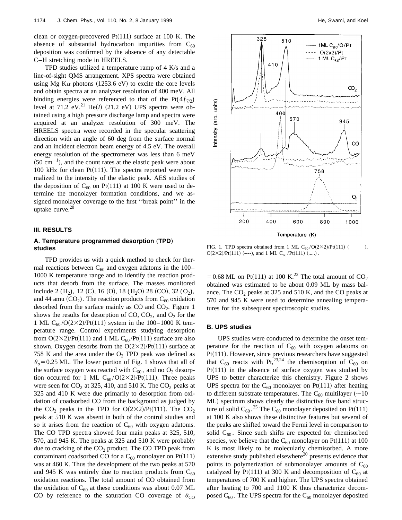clean or oxygen-precovered  $Pt(111)$  surface at 100 K. The absence of substantial hydrocarbon impurities from  $C_{60}$ deposition was confirmed by the absence of any detectable C–H stretching mode in HREELS.

TPD studies utilized a temperature ramp of 4 K/s and a line-of-sight QMS arrangement. XPS spectra were obtained using Mg K $\alpha$  photons (1253.6 eV) to excite the core levels and obtain spectra at an analyzer resolution of 400 meV. All binding energies were referenced to that of the  $Pt(4f_{7/2})$ level at  $71.2$   $eV$ <sup>21</sup> He(*I*) (21.2 eV) UPS spectra were obtained using a high pressure discharge lamp and spectra were acquired at an analyzer resolution of 300 meV. The HREELS spectra were recorded in the specular scattering direction with an angle of 60 deg from the surface normal and an incident electron beam energy of 4.5 eV. The overall energy resolution of the spectrometer was less than 6 meV  $(50 \text{ cm}^{-1})$ , and the count rates at the elastic peak were about 100 kHz for clean  $Pt(111)$ . The spectra reported were normalized to the intensity of the elastic peak. AES studies of the deposition of  $C_{60}$  on Pt(111) at 100 K were used to determine the monolayer formation conditions, and we assigned monolayer coverage to the first ''break point'' in the uptake curve. $20$ 

#### **III. RESULTS**

# A. Temperature programmed desorption (TPD) **studies**

TPD provides us with a quick method to check for thermal reactions between  $C_{60}$  and oxygen adatoms in the 100– 1000 K temperature range and to identify the reaction products that desorb from the surface. The masses monitored include 2  $(H_2)$ , 12  $(C)$ , 16  $(O)$ , 18  $(H_2O)$  28  $(CO)$ , 32  $(O_2)$ , and 44 amu  $(CO_2)$ . The reaction products from  $C_{60}$  oxidation desorbed from the surface mainly as  $CO$  and  $CO<sub>2</sub>$ . Figure 1 shows the results for desorption of CO,  $CO<sub>2</sub>$ , and  $O<sub>2</sub>$  for the 1 ML C<sub>60</sub>/O(2×2)/Pt(111) system in the 100–1000 K temperature range. Control experiments studying desorption from  $O(2\times2)/Pt(111)$  and 1 ML C<sub>60</sub>/Pt(111) surface are also shown. Oxygen desorbs from the  $O(2\times2)/Pt(111)$  surface at 758 K and the area under the  $O_2$  TPD peak was defined as  $\theta_0$  = 0.25 ML. The lower portion of Fig. 1 shows that all of the surface oxygen was reacted with  $C_{60}$ , and no  $O_2$  desorption occurred for 1 ML  $C_{60}/O(2\times2)/Pt(111)$ . Three peaks were seen for  $CO_2$  at 325, 410, and 510 K. The  $CO_2$  peaks at 325 and 410 K were due primarily to desorption from oxidation of coadsorbed CO from the background as judged by the CO<sub>2</sub> peaks in the TPD for  $O(2\times2)/Pt(111)$ . The CO<sub>2</sub> peak at 510 K was absent in both of the control studies and so it arises from the reaction of  $C_{60}$  with oxygen adatoms. The CO TPD spectra showed four main peaks at 325, 510, 570, and 945 K. The peaks at 325 and 510 K were probably due to cracking of the  $CO<sub>2</sub>$  product. The CO TPD peak from contaminant coadsorbed CO for a  $C_{60}$  monolayer on Pt(111) was at 460 K. Thus the development of the two peaks at 570 and 945 K was entirely due to reaction products from  $C_{60}$ oxidation reactions. The total amount of CO obtained from the oxidation of  $C_{60}$  at these conditions was about 0.07 ML CO by reference to the saturation CO coverage of  $\theta_{\text{CO}}$ 



FIG. 1. TPD spectra obtained from 1 ML C<sub>60</sub>/O(2×2)/Pt(111) (\_\_\_\_\_  $O(2\times2)/Pt(111)$  (----), and 1 ML C<sub>60</sub>/Pt(111) (.....).

= 0.68 ML on Pt(111) at 100 K.<sup>22</sup> The total amount of CO<sub>2</sub> obtained was estimated to be about 0.09 ML by mass balance. The  $CO<sub>2</sub>$  peaks at 325 and 510 K, and the CO peaks at 570 and 945 K were used to determine annealing temperatures for the subsequent spectroscopic studies.

## **B. UPS studies**

UPS studies were conducted to determine the onset temperature for the reaction of  $C_{60}$  with oxygen adatoms on Pt(111). However, since previous researchers have suggested that C<sub>60</sub> reacts with Pt,<sup>23,24</sup> the chemisorption of C<sub>60</sub> on  $Pt(111)$  in the absence of surface oxygen was studied by UPS to better characterize this chemistry. Figure 2 shows UPS spectra for the  $C_{60}$  monolayer on Pt(111) after heating to different substrate temperatures. The  $C_{60}$  multilayer (~10) ML) spectrum shows clearly the distinctive five band structure of solid  $C_{60}$ .<sup>25</sup> The  $C_{60}$  monolayer deposited on Pt(111) at 100 K also shows these distinctive features but several of the peaks are shifted toward the Fermi level in comparison to solid  $C_{60}$ . Since such shifts are expected for chemisorbed species, we believe that the  $C_{60}$  monolayer on Pt(111) at 100 K is most likely to be molecularly chemisorbed. A more extensive study published elsewhere<sup>20</sup> presents evidence that points to polymerization of submonolayer amounts of  $C_{60}$ catalyzed by Pt(111) at 300 K and decomposition of C<sub>60</sub> at temperatures of 700 K and higher. The UPS spectra obtained after heating to 700 and 1100 K thus characterize decomposed  $C_{60}$ . The UPS spectra for the  $C_{60}$  monolayer deposited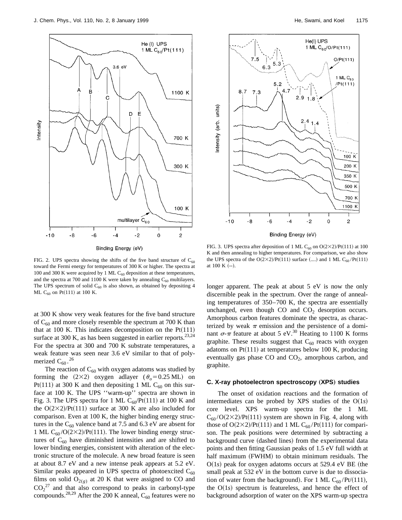

FIG. 2. UPS spectra showing the shifts of the five band structure of  $C_{60}$ toward the Fermi energy for temperatures of 300 K or higher. The spectra at 100 and 300 K were acquired by 1 ML  $C_{60}$  deposition at these temperatures, and the spectra at 700 and 1100 K were taken by annealing  $C_{60}$  multilayers. The UPS spectrum of solid  $C_{60}$  is also shown, as obtained by depositing 4 ML  $C_{60}$  on Pt(111) at 100 K.

at 300 K show very weak features for the five band structure of  $C_{60}$  and more closely resemble the spectrum at 700 K than that at 100 K. This indicates decomposition on the  $Pt(111)$ surface at 300 K, as has been suggested in earlier reports.<sup>23,24</sup> For the spectra at 300 and 700 K substrate temperatures, a weak feature was seen near 3.6 eV similar to that of polymerized  $C_{60}$ .<sup>26</sup>

The reaction of  $C_{60}$  with oxygen adatoms was studied by forming the  $(2\times2)$  oxygen adlayer  $(\theta_0=0.25 \text{ ML})$  on Pt(111) at 300 K and then depositing 1 ML C<sub>60</sub> on this surface at 100 K. The UPS ''warm-up'' spectra are shown in Fig. 3. The UPS spectra for 1 ML  $C_{60}$ /Pt(111) at 100 K and the  $O(2\times2)/Pt(111)$  surface at 300 K are also included for comparison. Even at 100 K, the higher binding energy structures in the  $C_{60}$  valence band at 7.5 and 6.3 eV are absent for 1 ML  $C_{60}/O(2\times2)/Pt(111)$ . The lower binding energy structures of  $C_{60}$  have diminished intensities and are shifted to lower binding energies, consistent with alteration of the electronic structure of the molecule. A new broad feature is seen at about 8.7 eV and a new intense peak appears at 5.2 eV. Similar peaks appeared in UPS spectra of photoexcited  $C_{60}$ films on solid  $O_{2(g)}$  at 20 K that were assigned to CO and  $CO_2^{27}$  and that also correspond to peaks in carbonyl-type compounds.<sup>28,29</sup> After the 200 K anneal,  $C_{60}$  features were no



FIG. 3. UPS spectra after deposition of 1 ML C<sub>60</sub> on O(2×2)/Pt(111) at 100 K and then annealing to higher temperatures. For comparison, we also show the UPS spectra of the  $O(2\times2)/Pt(111)$  surface (....) and 1 ML C<sub>60</sub>/Pt(111) at  $100 \text{ K}$  (--).

longer apparent. The peak at about 5 eV is now the only discernible peak in the spectrum. Over the range of annealing temperatures of 350–700 K, the spectra are essentially unchanged, even though  $CO$  and  $CO<sub>2</sub>$  desorption occurs. Amorphous carbon features dominate the spectra, as characterized by weak  $\pi$  emission and the persistence of a dominant  $\sigma$ - $\pi$  feature at about 5 eV.<sup>30</sup> Heating to 1100 K forms graphite. These results suggest that  $C_{60}$  reacts with oxygen adatoms on  $Pt(111)$  at temperatures below 100 K, producing eventually gas phase CO and  $CO<sub>2</sub>$ , amorphous carbon, and graphite.

## **C. X-ray photoelectron spectroscopy** (XPS) studies

The onset of oxidation reactions and the formation of intermediates can be probed by XPS studies of the  $O(1s)$ core level. XPS warm-up spectra for the 1 ML  $C_{60}/O(2\times2)/Pt(111)$  system are shown in Fig. 4, along with those of  $O(2\times2)/Pt(111)$  and 1 ML C<sub>60</sub>/Pt(111) for comparison. The peak positions were determined by subtracting a background curve (dashed lines) from the experimental data points and then fitting Gaussian peaks of 1.5 eV full width at half maximum (FWHM) to obtain minimum residuals. The  $O(1s)$  peak for oxygen adatoms occurs at 529.4 eV BE (the small peak at 532 eV in the bottom curve is due to dissociation of water from the background). For 1 ML  $C_{60}$ /Pt/(111), the  $O(1s)$  spectrum is featureless, and hence the effect of background adsorption of water on the XPS warm-up spectra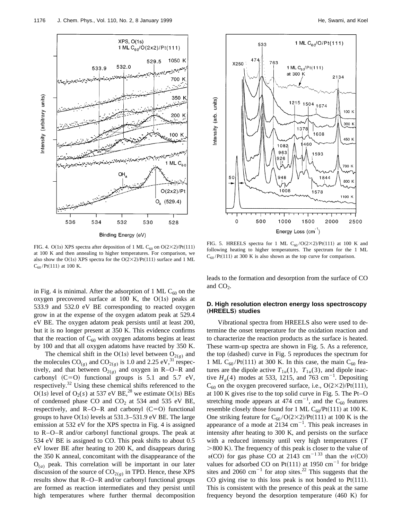



FIG. 4. O(1s) XPS spectra after deposition of 1 ML C<sub>60</sub> on O(2×2)/Pt(111) at 100 K and then annealing to higher temperatures. For comparison, we also show the O(1s) XPS spectra for the O(2×2)/Pt(111) surface and 1 ML  $C_{60}$ /Pt(111) at 100 K.

in Fig. 4 is minimal. After the adsorption of 1 ML  $C_{60}$  on the oxygen precovered surface at 100 K, the  $O(1s)$  peaks at 533.9 and 532.0 eV BE corresponding to reacted oxygen grow in at the expense of the oxygen adatom peak at 529.4 eV BE. The oxygen adatom peak persists until at least 200, but it is no longer present at 350 K. This evidence confirms that the reaction of  $C_{60}$  with oxygen adatoms begins at least by 100 and that all oxygen adatoms have reacted by 350 K.

The chemical shift in the O(1s) level between  $O_{2(g)}$  and the molecules  $CO_{(g)}$  and  $CO_{2(g)}$  is 1.0 and 2.25 eV,<sup>31</sup> respectively, and that between  $O_{2(g)}$  and oxygen in R–O–R and carbonyl  $(C=0)$  functional groups is 5.1 and 5.7 eV, respectively.32 Using these chemical shifts referenced to the  $O(1s)$  level of  $O_2(s)$  at 537 eV BE,<sup>28</sup> we estimate  $O(1s)$  BEs of condensed phase CO and  $CO<sub>2</sub>$  at 534 and 535 eV BE, respectively, and  $R-O-R$  and carbonyl  $(C=O)$  functional groups to have  $O(1s)$  levels at 531.3–531.9 eV BE. The large emission at 532 eV for the XPS spectra in Fig. 4 is assigned to R–O–R and/or carbonyl functional groups. The peak at 534 eV BE is assigned to CO. This peak shifts to about 0.5 eV lower BE after heating to 200 K, and disappears during the 350 K anneal, concomitant with the disappearance of the  $O_{(a)}$  peak. This correlation will be important in our later discussion of the source of  $CO<sub>2(g)</sub>$  in TPD. Hence, these XPS results show that R–O–R and/or carbonyl functional groups are formed as reaction intermediates and they persist until high temperatures where further thermal decomposition

FIG. 5. HREELS spectra for 1 ML  $C_{60}/O(2\times2)/Pt(111)$  at 100 K and following heating to higher temperatures. The spectrum for the 1 ML  $C_{60}$ /Pt(111) at 300 K is also shown as the top curve for comparison.

leads to the formation and desorption from the surface of CO and  $CO<sub>2</sub>$ .

# **D. High resolution electron energy loss spectroscopy** "**HREELS**… **studies**

Vibrational spectra from HREELS also were used to determine the onset temperature for the oxidation reaction and to characterize the reaction products as the surface is heated. These warm-up spectra are shown in Fig. 5. As a reference, the top (dashed) curve in Fig. 5 reproduces the spectrum for 1 ML C<sub>60</sub>/Pt(111) at 300 K. In this case, the main C<sub>60</sub> features are the dipole active  $T_{1u}(1)$ ,  $T_{1u}(3)$ , and dipole inactive  $H<sub>g</sub>(4)$  modes at 533, 1215, and 763 cm<sup>-1</sup>. Depositing  $C_{60}$  on the oxygen precovered surface, i.e.,  $O(2\times2)/Pt(111)$ , at 100 K gives rise to the top solid curve in Fig. 5. The Pt–O stretching mode appears at 474 cm<sup>-1</sup>, and the C<sub>60</sub> features resemble closely those found for 1 ML  $C_{60}$ /Pt(111) at 100 K. One striking feature for  $C_{60}/O(2\times2)/Pt(111)$  at 100 K is the appearance of a mode at  $2134 \text{ cm}^{-1}$ . This peak increases in intensity after heating to 300 K, and persists on the surface with a reduced intensity until very high temperatures (*T*  $>800$  K). The frequency of this peak is closer to the value of  $v(CO)$  for gas phase CO at 2143 cm<sup>-1 33</sup> than the  $v(CO)$ values for adsorbed CO on Pt(111) at 1950  $cm^{-1}$  for bridge sites and 2060 cm<sup>-1</sup> for atop sites.<sup>22</sup> This suggests that the CO giving rise to this loss peak is not bonded to  $Pt(111)$ . This is consistent with the presence of this peak at the same frequency beyond the desorption temperature  $(460 K)$  for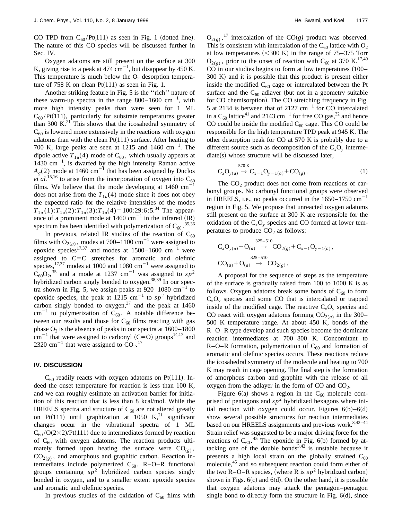CO TPD from  $C_{60}$ /Pt $(111)$  as seen in Fig. 1 (dotted line). The nature of this CO species will be discussed further in Sec. IV.

Oxygen adatoms are still present on the surface at 300 K, giving rise to a peak at 474  $\text{cm}^{-1}$ , but disappear by 450 K. This temperature is much below the  $O<sub>2</sub>$  desorption temperature of 758 K on clean  $Pt(111)$  as seen in Fig. 1.

Another striking feature in Fig. 5 is the ''rich'' nature of these warm-up spectra in the range  $800-1600$  cm<sup>-1</sup>, with more high intensity peaks than were seen for 1 ML  $C_{60}$ /Pt(111), particularly for substrate temperatures greater than 300 K. $^{21}$  This shows that the icosahedral symmetry of  $C_{60}$  is lowered more extensively in the reactions with oxygen adatoms than with the clean  $Pt(111)$  surface. After heating to 700 K, large peaks are seen at 1215 and 1460  $\text{cm}^{-1}$ . The dipole active  $T_{1u}(4)$  mode of  $C_{60}$ , which usually appears at  $1430 \text{ cm}^{-1}$ , is dwarfed by the high intensity Raman active  $A<sub>g</sub>(2)$  mode at 1460 cm<sup>-1</sup> that has been assigned by Duclos  $e^{t}$  *al.*<sup>15,16</sup> to arise from the incorporation of oxygen into  $C_{60}$ films. We believe that the mode developing at  $1460$  cm<sup>2</sup> does not arise from the  $T_{1u}(4)$  mode since it does not obey the expected ratio for the relative intensities of the modes  $T_{1u}(1): T_{1u}(2): T_{1u}(3): T_{1u}(4) = 100:29:6:5.^{34}$  The appearance of a prominent mode at  $1460 \text{ cm}^{-1}$  in the infrared (IR) spectrum has been identified with polymerization of  $C_{60}$ .<sup>35,36</sup>

In previous, related IR studies of the reaction of  $C_{60}$ films with  $O_{2(g)}$ , modes at 700–1100 cm<sup>-1</sup> were assigned to epoxide species<sup>17,37</sup> and modes at 1500–1600  $cm^{-1}$  were assigned to  $C=C$  stretches for aromatic and olefinic species,<sup>17,37</sup> modes at 1000 and 1080 cm<sup>-1</sup> were assigned to  $\overline{C}_{60}O_2$ <sup>35</sup> and a mode at 1237 cm<sup>-1</sup> was assigned to  $sp^2$ hybridized carbon singly bonded to oxygen.<sup>38,39</sup> In our spectra shown in Fig. 5, we assign peaks at  $920-1080$  cm<sup>-1</sup> to epoxide species, the peak at  $1215 \text{ cm}^{-1}$  to  $sp^2$  hybridized carbon singly bonded to oxygen, $37$  and the peak at 1460 cm<sup>-1</sup> to polymerization of  $C_{60}$ . A notable difference between our results and those for  $C_{60}$  films reacting with gas phase  $O_2$  is the absence of peaks in our spectra at  $1600-1800$  $cm^{-1}$  that were assigned to carbonyl (C=O) groups<sup>14,17</sup> and 2320 cm<sup>-1</sup> that were assigned to  $CO_2$ .<sup>17</sup>

#### **IV. DISCUSSION**

 $C_{60}$  readily reacts with oxygen adatoms on Pt(111). Indeed the onset temperature for reaction is less than 100 K, and we can roughly estimate an activation barrier for initiation of this reaction that is less than 8 kcal/mol. While the HREELS spectra and structure of  $C_{60}$  are not altered greatly on Pt(111) until graphization at 1050 K,<sup>21</sup> significant changes occur in the vibrational spectra of 1 ML  $C_{60}/O(2\times2)/Pt(111)$  due to intermediates formed by reaction of  $C_{60}$  with oxygen adatoms. The reaction products ultimately formed upon heating the surface were  $CO_{(g)}$ ,  $CO<sub>2(e)</sub>$ , and amorphous and graphitic carbon. Reaction intermediates include polymerized  $C_{60}$ , R–O–R functional groups containing  $sp^2$  hybridized carbon species singly bonded in oxygen, and to a smaller extent epoxide species and aromatic and olefinic species.

In previous studies of the oxidation of  $C_{60}$  films with

 $O_{2(g)}$ ,<sup>17</sup> intercalation of the CO(g) product was observed. This is consistent with intercalation of the  $C_{60}$  lattice with  $O_2$ at low temperatures  $(<300 \text{ K})$  in the range of 75–375 Torr  $O_{2(g)}$ , prior to the onset of reaction with C<sub>60</sub> at 370 K.<sup>17,40</sup>  $CO$  in our studies begins to form at low temperatures  $(100 300 K$  and it is possible that this product is present either inside the modified  $C_{60}$  cage or intercalated between the Pt surface and the  $C_{60}$  adlayer (but not in a geometry suitable for CO chemisorption). The CO stretching frequency in Fig. 5 at 2134 is between that of 2127  $cm^{-1}$  for CO intercalated in a  $C_{60}$  lattice<sup>41</sup> and 2143 cm<sup>-1</sup> for free CO gas,<sup>32</sup> and hence CO could be inside the modified  $C_{60}$  cage. This CO could be responsible for the high temperature TPD peak at 945 K. The other desorption peak for CO at 570 K is probably due to a different source such as decomposition of the  $C_xO_y$  interme $diate(s)$  whose structure will be discussed later,

$$
C_x O_{y(a)} \to C_{x-1} O_{y-1(a)} + CO_{(g)}.
$$
 (1)

The  $CO<sub>2</sub>$  product does not come from reactions of carbonyl groups. No carbonyl functional groups were observed in HREELS, i.e., no peaks occurred in the  $1650-1750$  cm<sup>-1</sup> region in Fig. 5. We propose that unreacted oxygen adatoms still present on the surface at 300 K are responsible for the oxidation of the  $C_xO_y$  species and CO formed at lower temperatures to produce  $CO<sub>2</sub>$  as follows:

$$
C_xO_{y(a)} + O_{(a)} \stackrel{325-510}{\rightarrow} CO_{2(g)} + C_{x-1}O_{y-1(a)},
$$
  
\n
$$
CO_{(a)} + O_{(a)} \stackrel{325-510}{\rightarrow} CO_{2(g)}.
$$

A proposal for the sequence of steps as the temperature of the surface is gradually raised from 100 to 1000 K is as follows. Oxygen adatoms break some bonds of  $C_{60}$  to form  $C_xO_y$  species and some CO that is intercalated or trapped inside of the modified cage. The reactive  $C_xO_y$  species and CO react with oxygen adatoms forming  $CO_{2(g)}$  in the 300– 500 K temperature range. At about 450 K, bonds of the R–O–R type develop and such species become the dominant reaction intermediates at 700–800 K. Concomitant to R–O–R formation, polymerization of  $C_{60}$  and formation of aromatic and olefinic species occurs. These reactions reduce the icosahedral symmetry of the molecule and heating to 700 K may result in cage opening. The final step is the formation of amorphous carbon and graphite with the release of all oxygen from the adlayer in the form of  $CO$  and  $CO<sub>2</sub>$ .

Figure 6(a) shows a region in the  $C_{60}$  molecule comprised of pentagons and  $sp<sup>2</sup>$  hybridized hexagons where initial reaction with oxygen could occur. Figures  $6(b) - 6(d)$ show several possible structures for reaction intermediates based on our HREELS assignments and previous work.<sup>3,42-44</sup> Strain relief was suggested to be a major driving force for the reactions of  $C_{60}$ .<sup>45</sup> The epoxide in Fig. 6(b) formed by attacking one of the double bonds<sup>3,42</sup> is unstable because it presents a high local strain on the globally strained  $C_{60}$ molecule,<sup>45</sup> and so subsequent reaction could form either of the two R–O–R species, (where R is  $sp^2$  hybridized carbon) shown in Figs.  $6(c)$  and  $6(d)$ . On the other hand, it is possible that oxygen adatoms may attack the pentagon–pentagon single bond to directly form the structure in Fig.  $6(d)$ , since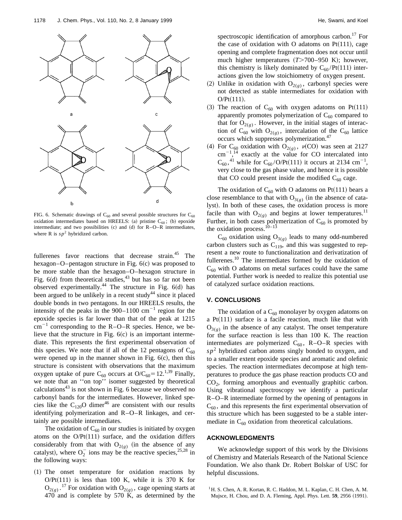

FIG. 6. Schematic drawings of  $C_{60}$  and several possible structures for  $C_{60}$ oxidation intermediates based on HREELS: (a) pristine  $C_{60}$ ; (b) epoxide intermediate; and two possibilities  $(c)$  and  $(d)$  for R–O–R intermediates, where R is  $sp^2$  hybridized carbon.

fullerenes favor reactions that decrease strain.<sup>45</sup> The hexagon–O–pentagon structure in Fig.  $6(c)$  was proposed to be more stable than the hexagon–O–hexagon structure in Fig.  $6(d)$  from theoretical studies, $43$  but has so far not been observed experimentally.<sup>44</sup> The structure in Fig.  $6(d)$  has been argued to be unlikely in a recent study $44$  since it placed double bonds in two pentagons. In our HREELS results, the intensity of the peaks in the  $900-1100$  cm<sup>-1</sup> region for the epoxide species is far lower than that of the peak at 1215  $cm^{-1}$  corresponding to the R–O–R species. Hence, we believe that the structure in Fig.  $6(c)$  is an important intermediate. This represents the first experimental observation of this species. We note that if all of the 12 pentagons of  $C_{60}$ were opened up in the manner shown in Fig.  $6(c)$ , then this structure is consistent with observations that the maximum oxygen uptake of pure C<sub>60</sub> occurs at O/C<sub>60</sub>=12.<sup>1,39</sup> Finally, we note that an ''on top'' isomer suggested by theoretical calculations $43$  is not shown in Fig. 6 because we observed no carbonyl bands for the intermediates. However, linked species like the C<sub>120</sub>O dimer<sup>46</sup> are consistent with our results identifying polymerization and R–O–R linkages, and certainly are possible intermediates.

The oxidation of  $C_{60}$  in our studies is initiated by oxygen atoms on the  $O/Pt(111)$  surface, and the oxidation differs considerably from that with  $O_{2(g)}$  (in the absence of any catalyst), where  $O_2^-$  ions may be the reactive species,<sup>25,28</sup> in the following ways:

~1! The onset temperature for oxidation reactions by O/Pt $(111)$  is less than 100 K, while it is 370 K for  $O_{2(g)}$ .<sup>17</sup> For oxidation with  $O_{2(g)}$ , cage opening starts at 470 and is complete by 570 K, as determined by the spectroscopic identification of amorphous carbon.<sup>17</sup> For the case of oxidation with O adatoms on  $Pt(111)$ , cage opening and complete fragmentation does not occur until much higher temperatures  $(T>700-950 \text{ K})$ ; however, this chemistry is likely dominated by  $C_{60}$ /Pt(111) interactions given the low stoichiometry of oxygen present.

- (2) Unlike in oxidation with  $O_{2(g)}$ , carbonyl species were not detected as stable intermediates for oxidation with  $O/Pt(111)$ .
- (3) The reaction of  $C_{60}$  with oxygen adatoms on Pt(111) apparently promotes polymerization of  $C_{60}$  compared to that for  $O_{2(g)}$ . However, in the initial stages of interaction of C<sub>60</sub> with O<sub>2(g)</sub>, intercalation of the C<sub>60</sub> lattice occurs which suppresses polymerization.47
- (4) For C<sub>60</sub> oxidation with O<sub>2(g)</sub>,  $\nu$ (CO) was seen at 2127  $\text{cm}^{-1}$ ,<sup>14</sup> exactly at the value for CO intercalated into  $C_{60}$ ,<sup>41</sup> while for  $C_{60}/O/Pt(111)$  it occurs at 2134 cm<sup>-1</sup>, very close to the gas phase value, and hence it is possible that CO could present inside the modified  $C_{60}$  cage.

The oxidation of  $C_{60}$  with O adatoms on Pt(111) bears a close resemblance to that with  $O_{3(g)}$  (in the absence of catalyst). In both of these cases, the oxidation process is more facile than with  $O_{2(\varrho)}$  and begins at lower temperatures.<sup>11</sup> Further, in both cases polymerization of  $C_{60}$  is promoted by the oxidation process.<sup>10–13</sup>

 $C_{60}$  oxidation using  $O_{3(g)}$  leads to many odd-numbered carbon clusters such as  $C_{119}$ , and this was suggested to represent a new route to functionalization and derivatization of fullerenes.<sup>10</sup> The intermediates formed by the oxidation of  $C_{60}$  with O adatoms on metal surfaces could have the same potential. Further work is needed to realize this potential use of catalyzed surface oxidation reactions.

# **V. CONCLUSIONS**

The oxidation of a  $C_{60}$  monolayer by oxygen adatoms on a Pt $(111)$  surface is a facile reaction, much like that with  $O_{3(g)}$  in the absence of any catalyst. The onset temperature for the surface reaction is less than 100 K. The reaction intermediates are polymerized  $C_{60}$ , R–O–R species with  $sp<sup>2</sup>$  hybridized carbon atoms singly bonded to oxygen, and to a smaller extent epoxide species and aromatic and olefinic species. The reaction intermediates decompose at high temperatures to produce the gas phase reaction products CO and CO2, forming amorphous and eventually graphitic carbon. Using vibrational spectroscopy we identify a particular R–O–R intermediate formed by the opening of pentagons in  $C_{60}$ , and this represents the first experimental observation of this structure which has been suggested to be a stable intermediate in  $C_{60}$  oxidation from theoretical calculations.

# **ACKNOWLEDGMENTS**

We acknowledge support of this work by the Divisions of Chemistry and Materials Research of the National Science Foundation. We also thank Dr. Robert Bolskar of USC for helpful discussions.

<sup>&</sup>lt;sup>1</sup> H. S. Chen, A. R. Kortan, R. C. Haddon, M. L. Kaplan, C. H. Chen, A. M. Mujsce, H. Chou, and D. A. Fleming, Appl. Phys. Lett. **59**, 2956 (1991).